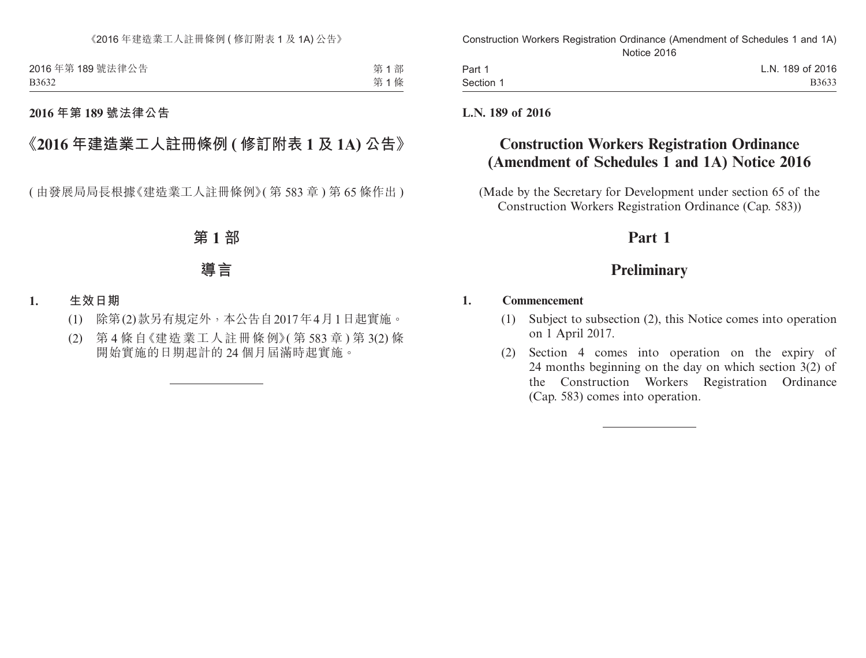第1部 第 1 條 2016 年第 189 號法律公告 B3632

### **2016 年第 189 號法律公告**

# **《2016 年建造業工人註冊條例 ( 修訂附表 1 及 1A) 公告》**

( 由發展局局長根據《建造業工人註冊條例》( 第 583 章 ) 第 65 條作出 )

# **第 1 部**

# **導言**

- **1. 生效日期**
	- (1) 除第(2)款另有規定外,本公告自2017年4月1日起實施。
	- (2) 第 4 條自《建造業工人註冊條例》( 第 583 章 ) 第 3(2) 條 開始實施的日期起計的 24 個月屆滿時起實施。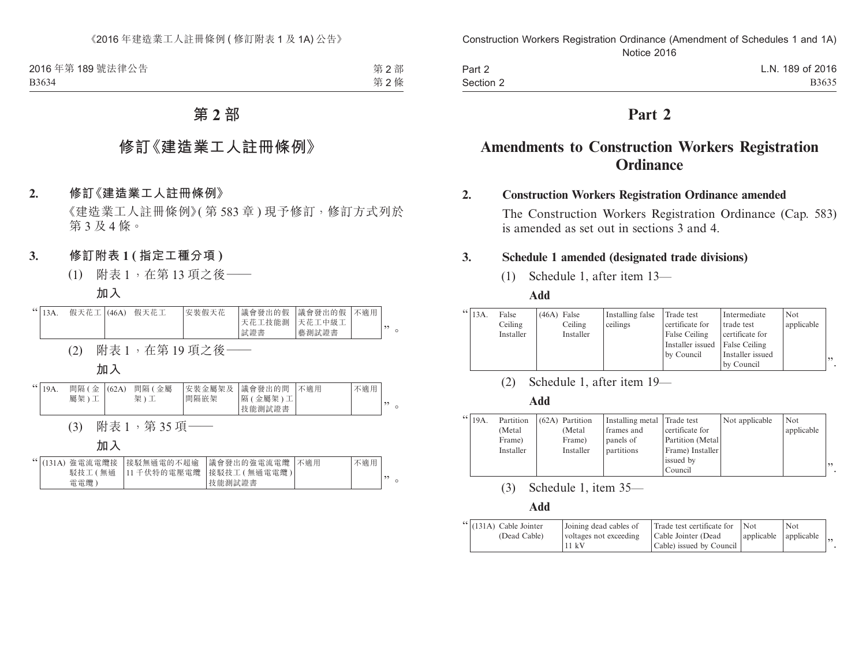第 2 部 第 2 條 2016年第189號法律公告 B3634

# **第 2 部**

# **修訂《建造業工人註冊條例》**

**2. 修訂《建造業工人註冊條例》**

《建造業工人註冊條例》(第583章)現予修訂,修訂方式列於 第 3 及 4 條。

**3. 修訂附表 1 ( 指定工種分項 )**

(1) 附表 1,在第 13 項之後——

**加入**

| 天花工技能測<br>天花工中級工 | $^{66}$ 13A. | 假天花工 | (46A) | 假天花工 | 安裝假天花 | 議會發出的假 | 議會發出的假 | 不滴用 |           |         |
|------------------|--------------|------|-------|------|-------|--------|--------|-----|-----------|---------|
|                  |              |      |       |      |       | 試證書    | 藝測試證書  |     | $\bullet$ | $\circ$ |

(2) 附表 1,在第 19 項之後——

**加入**

| $^{66}$ 19A. | 間隔(<br>金 | (62A) | 金屬<br>間隔 | 安裝金屬架及 | 議會發出的間    | 不適用 | 不適用 |  |
|--------------|----------|-------|----------|--------|-----------|-----|-----|--|
|              | 屬架<br>-  |       | 架        | 間隔嵌架   | 隔<br>金屬架) |     |     |  |
|              |          |       |          |        | 技能測試證書    |     |     |  |

(3) 附表 1,第 35 項——

**加入**

|  |         | " (131A) 強電流電纜接 接駁無通電的不超逾 | 議會發出的強電流電纜   不適用         | 不適用 |  |
|--|---------|---------------------------|--------------------------|-----|--|
|  | 駁技工 (無通 |                           | 11 千伏特的電壓電纜  接駁技工(無通電電纜) |     |  |
|  | 電電纜     |                           | 技能測試證書                   |     |  |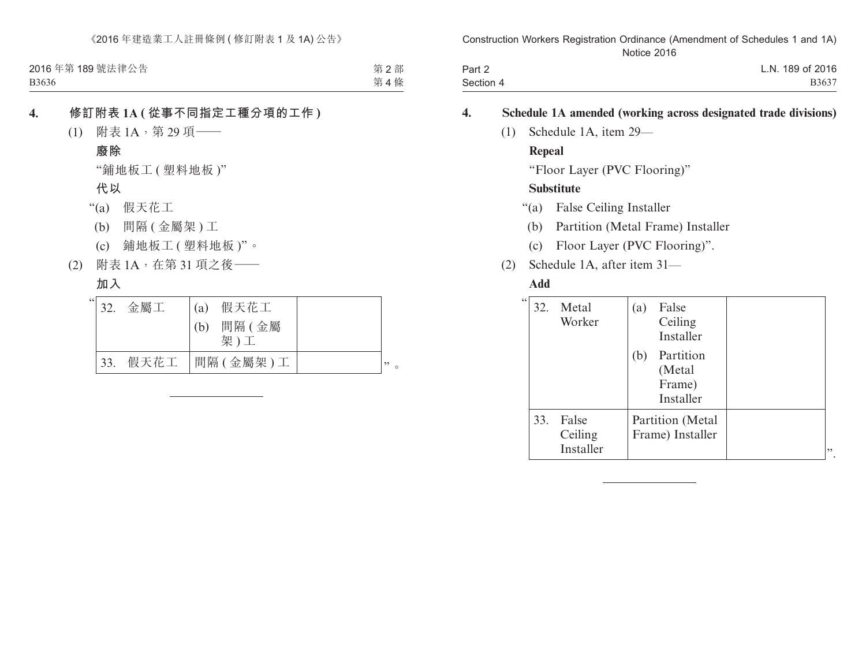第 2 部 第 4 條 2016年第189號法律公告 B3636

### **4. 修訂附表 1A ( 從事不同指定工種分項的工作 )**

- (1) 附表 1A,第 29 項——
	- **廢除**

"鋪地板工 ( 塑料地板 )"

## **代以**

- "(a) 假天花工
	- (b) 間隔 ( 金屬架 ) 工
	- (c) 鋪地板工 ( 塑料地板 )"。
- (2) 附表 1A,在第 31 項之後——

# **加入**

| 66 |     | 金屬工  | 假天花工<br>(a)<br>間隔 (金屬<br>(b)<br>架)工 |                 |
|----|-----|------|-------------------------------------|-----------------|
|    | 33. | 假天花工 | 間隔(金屬架)工                            | ,,,<br>$\Omega$ |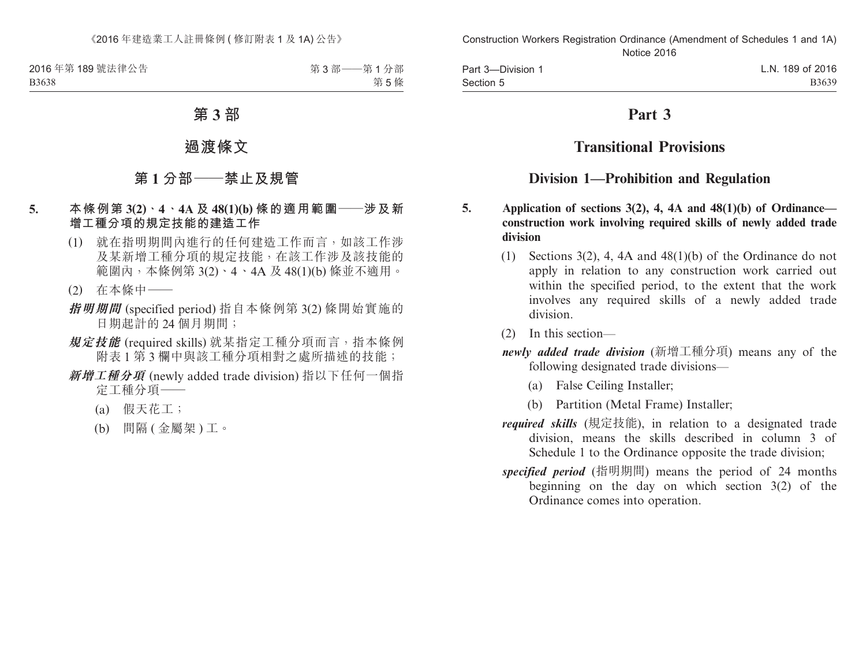2016年第189號法律公告 B3638

第3部 -- 第1分部 第 5 條

# **第 3 部**

## **過渡條文**

## **第 1 分部——禁止及規管**

## **5. 本條例第 3(2)、4、4A 及 48(1)(b) 條的適用範圍——涉及新 增工種分項的規定技能的建造工作**

- (1) 就在指明期間內進行的任何建造工作而言,如該工作涉 及某新增工種分項的規定技能,在該工作涉及該技能的 範圍內,本條例第 3(2)、4、4A 及 48(1)(b) 條並不適用。
- (2) 在本條中——
- **指明期間** (specified period) 指自本條例第 3(2) 條開始實施的 日期起計的 24 個月期間;
- **規定技能** (required skills) 就某指定工種分項而言,指本條例 附表 1 第 3 欄中與該工種分項相對之處所描述的技能;
- **新增工種分項** (newly added trade division) 指以下任何一個指 定工種分項——
	- (a) 假天花工;
	- (b) 間隔 ( 金屬架 ) 工。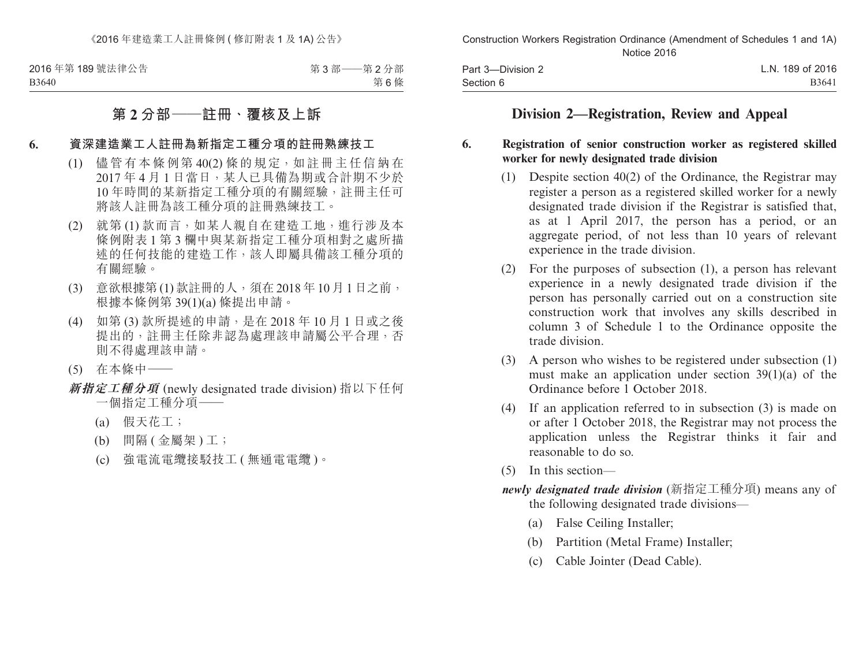《2016年建造業工人註冊條例 ( 修訂附表 1 及 1A) 公告》

第 3 部——第 2 分部 第 6 條 2016年第189號法律公告 B3640

## **第 2 分部——註冊、覆核及上訴**

#### **6. 資深建造業工人註冊為新指定工種分項的註冊熟練技工**

- (1) 儘管有本條例第 40(2) 條的規定,如註冊主任信納在 2017 年 4 月 1 日當日,某人已具備為期或合計期不少於 10 年時間的某新指定工種分項的有關經驗,註冊主任可 將該人註冊為該工種分項的註冊熟練技工。
- (2) 就第 (1) 款而言,如某人親自在建造工地,進行涉及本 條例附表 1 第 3 欄中與某新指定工種分項相對之處所描 述的任何技能的建造工作,該人即屬具備該工種分項的 有關經驗。
- (3) 意欲根據第 (1) 款註冊的人,須在 2018 年 10 月 1 日之前, 根據本條例第 39(1)(a) 條提出申請。
- (4) 如第 (3) 款所提述的申請,是在 2018 年 10 月 1 日或之後 提出的,註冊主任除非認為處理該申請屬公平合理,否 則不得處理該申請。
- (5) 在本條中——
- **新指定工種分項** (newly designated trade division) 指以下任何 一個指定工種分項——
	- (a) 假天花工;
	- (b) 間隔 ( 金屬架 ) 工;
	- (c) 強電流電纜接駁技工 ( 無通電電纜 )。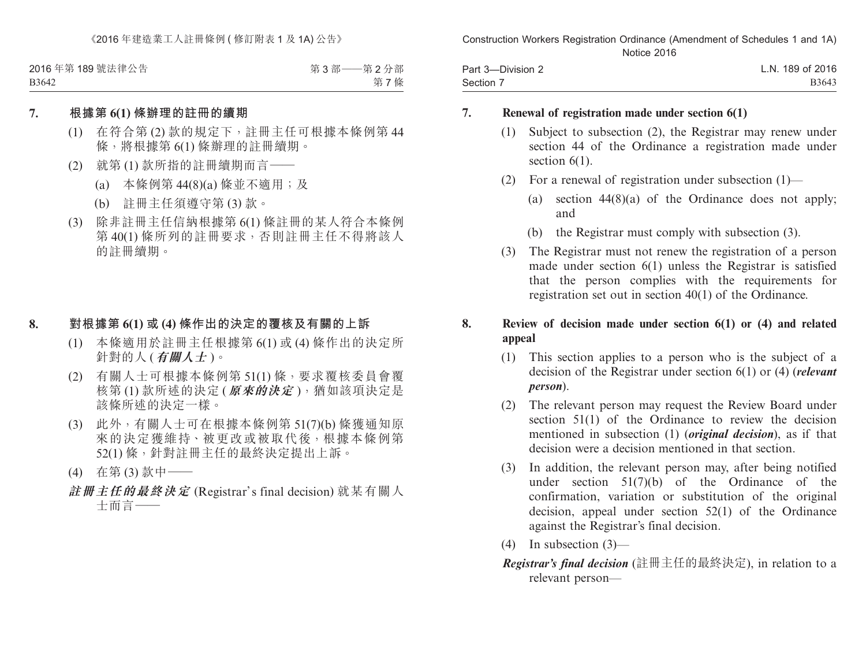2016年第189號法律公告 B3642

第 3 部——第 2 分部 第 7 條

#### **7. 根據第 6(1) 條辦理的註冊的續期**

- (1) 在符合第 (2) 款的規定下,註冊主任可根據本條例第 44 條,將根據第 6(1) 條辦理的註冊續期。
- (2) 就第 (1) 款所指的註冊續期而言——
	- (a) 本條例第 44(8)(a) 條並不適用;及
	- (b) 註冊主任須遵守第 (3) 款。
- (3) 除非註冊主任信納根據第 6(1) 條註冊的某人符合本條例 第 40(1) 條所列的註冊要求,否則註冊主任不得將該人 的註冊續期。

#### **8. 對根據第 6(1) 或 (4) 條作出的決定的覆核及有關的上訴**

- (1) 本條適用於註冊主任根據第 6(1) 或 (4) 條作出的決定所 針對的人 (**有關人士** )。
- (2) 有關人士可根據本條例第 51(1) 條,要求覆核委員會覆 核第 (1) 款所述的決定 (**原來的決定** ),猶如該項決定是 該條所述的決定一樣。
- (3) 此外,有關人士可在根據本條例第 51(7)(b) 條獲通知原 來的決定獲維持、被更改或被取代後,根據本條例第 52(1) 條, 針對註冊主任的最終決定提出上訴。
- (4) 在第 (3) 款中——
- **註冊主任的最終決定** (Registrar's final decision) 就某有關人 士而言——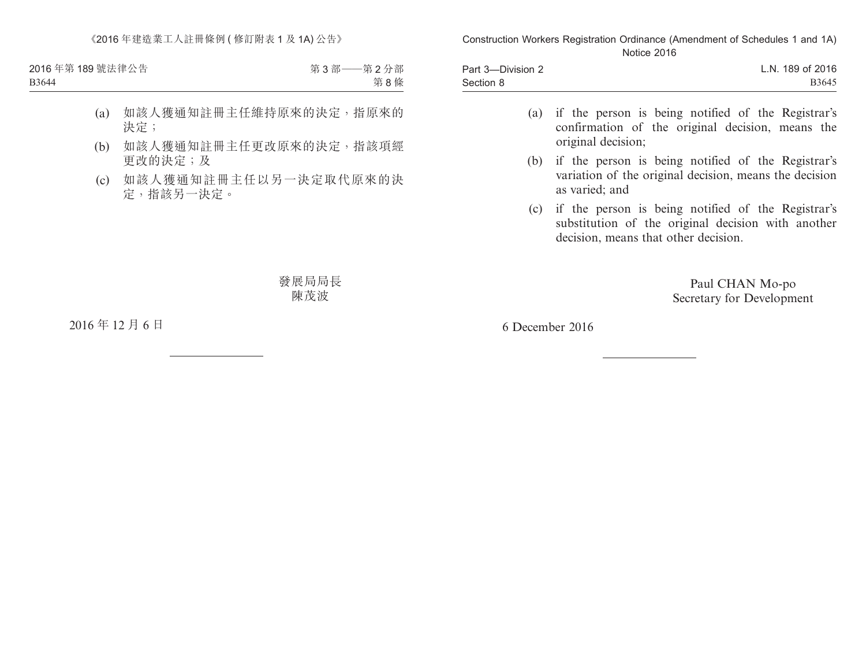《2016年建造業工人註冊條例 ( 修訂附表 1 及 1A) 公告》

2016年第189號法律公告 B3644

第 3 部——第 2 分部 第 8 條

- (a) 如該人獲通知註冊主任維持原來的決定,指原來的 決定;
- (b) 如該人獲通知註冊主任更改原來的決定,指該項經 更改的決定;及
- (c) 如該人獲通知註冊主任以另一決定取代原來的決 定,指該另一決定。

發展局局長 陳茂波

2016 年 12 月 6 日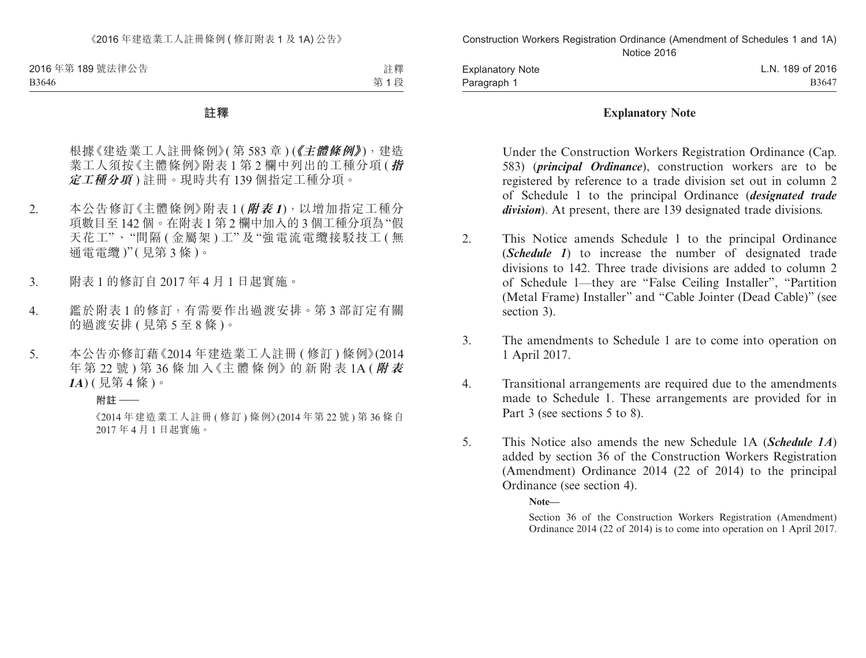2016 年第 189 號法律公告 B3646

註釋 第1段

#### **註釋**

根據《建造業工人註冊條例》(第583章)(《主體條例》),建造 業工人須按《主體條例》附表 1 第 2 欄中列出的工種分項 (**指 定工種分項** ) 註冊。現時共有 139 個指定工種分項。

- 2. 本公告修訂《主體條例》附表 1 (**附表 <sup>1</sup>**),以增加指定工種分 項數目至 142 個。在附表 1 第 2 欄中加入的 3 個工種分項為"假 天花工"、"間隔 ( 金屬架 ) 工" 及 "強電流電纜接駁技工 ( 無 通電電纜)"(見第3條)。
- 3. 附表 1 的修訂自 2017 年 4 月 1 日起實施。
- 4. 鑑於附表 1 的修訂,有需要作出過渡安排。第 3 部訂定有關 的過渡安排 ( 見第 5 至 8 條 )。
- 5. 本公告亦修訂藉《2014 年建造業工人註冊 ( 修訂 ) 條例》(2014 年 第 22 號 ) 第 36 條 加 入《主 體 條 例》的 新 附 表 1A ( **附 表 1A**) ( 見第 4 條 )。

**附註 ——**

《2014 年建造業工人註冊 ( 修訂 ) 條例》(2014 年第 22 號 ) 第 36 條自 2017 年 4 月 1 日起實施。